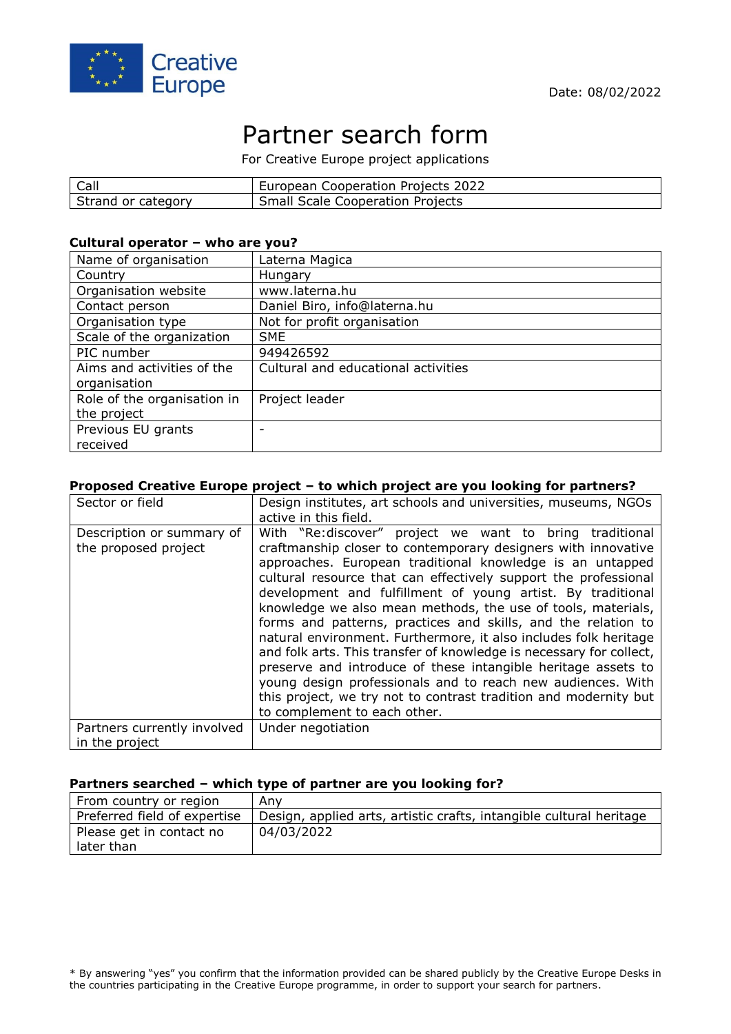

# Partner search form

For Creative Europe project applications

| Call               | European Cooperation Projects 2022      |
|--------------------|-----------------------------------------|
| Strand or category | <b>Small Scale Cooperation Projects</b> |

## **Cultural operator – who are you?**

| Name of organisation                       | Laterna Magica                      |
|--------------------------------------------|-------------------------------------|
| Country                                    | Hungary                             |
| Organisation website                       | www.laterna.hu                      |
| Contact person                             | Daniel Biro, info@laterna.hu        |
| Organisation type                          | Not for profit organisation         |
| Scale of the organization                  | <b>SME</b>                          |
| PIC number                                 | 949426592                           |
| Aims and activities of the<br>organisation | Cultural and educational activities |
| Role of the organisation in                | Project leader                      |
| the project                                |                                     |
| Previous EU grants                         |                                     |
| received                                   |                                     |

## **Proposed Creative Europe project – to which project are you looking for partners?**

| Sector or field                                   | Design institutes, art schools and universities, museums, NGOs<br>active in this field.                                                                                                                                                                                                                                                                                                                                                                                                                                                                                                                                                                                                                                                                                                                                                  |
|---------------------------------------------------|------------------------------------------------------------------------------------------------------------------------------------------------------------------------------------------------------------------------------------------------------------------------------------------------------------------------------------------------------------------------------------------------------------------------------------------------------------------------------------------------------------------------------------------------------------------------------------------------------------------------------------------------------------------------------------------------------------------------------------------------------------------------------------------------------------------------------------------|
| Description or summary of<br>the proposed project | With "Re: discover" project we want to bring traditional<br>craftmanship closer to contemporary designers with innovative<br>approaches. European traditional knowledge is an untapped<br>cultural resource that can effectively support the professional<br>development and fulfillment of young artist. By traditional<br>knowledge we also mean methods, the use of tools, materials,<br>forms and patterns, practices and skills, and the relation to<br>natural environment. Furthermore, it also includes folk heritage<br>and folk arts. This transfer of knowledge is necessary for collect,<br>preserve and introduce of these intangible heritage assets to<br>young design professionals and to reach new audiences. With<br>this project, we try not to contrast tradition and modernity but<br>to complement to each other. |
| Partners currently involved<br>in the project     | Under negotiation                                                                                                                                                                                                                                                                                                                                                                                                                                                                                                                                                                                                                                                                                                                                                                                                                        |

#### **Partners searched – which type of partner are you looking for?**

| From country or region                 | Anv                                                                 |
|----------------------------------------|---------------------------------------------------------------------|
| Preferred field of expertise           | Design, applied arts, artistic crafts, intangible cultural heritage |
| Please get in contact no<br>later than | 04/03/2022                                                          |